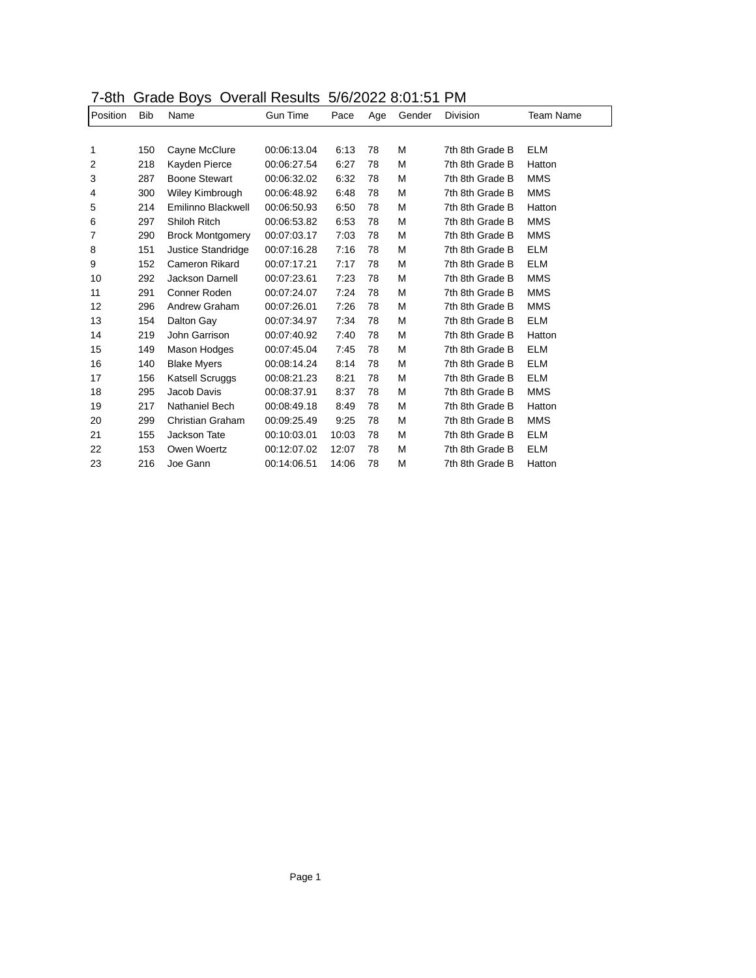| 7-8th Grade Boys Overall Results 5/6/2022 8:01:51 PM |  |
|------------------------------------------------------|--|
|------------------------------------------------------|--|

| <b>ULLI</b> |            | oraao boyo              |                 | $O$ and $O$ and $O$ and $O$ and $O$ and $O$ and $O$ and $O$ and $O$ and $O$ and $O$ and $O$ and $O$ and $O$ and $O$ and $O$ and $O$ and $O$ and $O$ and $O$ and $O$ and $O$ and $O$ and $O$ and $O$ and $O$ and $O$ and $O$ a |     |        |                 |            |  |
|-------------|------------|-------------------------|-----------------|-------------------------------------------------------------------------------------------------------------------------------------------------------------------------------------------------------------------------------|-----|--------|-----------------|------------|--|
| Position    | <b>Bib</b> | Name                    | <b>Gun Time</b> | Pace                                                                                                                                                                                                                          | Age | Gender | <b>Division</b> | Team Name  |  |
|             |            |                         |                 |                                                                                                                                                                                                                               |     |        |                 |            |  |
| 1           | 150        | Cayne McClure           | 00:06:13.04     | 6:13                                                                                                                                                                                                                          | 78  | м      | 7th 8th Grade B | <b>ELM</b> |  |
| 2           | 218        | Kayden Pierce           | 00:06:27.54     | 6:27                                                                                                                                                                                                                          | 78  | M      | 7th 8th Grade B | Hatton     |  |
| 3           | 287        | <b>Boone Stewart</b>    | 00:06:32.02     | 6:32                                                                                                                                                                                                                          | 78  | M      | 7th 8th Grade B | <b>MMS</b> |  |
| 4           | 300        | Wiley Kimbrough         | 00:06:48.92     | 6:48                                                                                                                                                                                                                          | 78  | M      | 7th 8th Grade B | <b>MMS</b> |  |
| 5           | 214        | Emilinno Blackwell      | 00:06:50.93     | 6:50                                                                                                                                                                                                                          | 78  | M      | 7th 8th Grade B | Hatton     |  |
| 6           | 297        | Shiloh Ritch            | 00:06:53.82     | 6:53                                                                                                                                                                                                                          | 78  | M      | 7th 8th Grade B | <b>MMS</b> |  |
| 7           | 290        | <b>Brock Montgomery</b> | 00:07:03.17     | 7:03                                                                                                                                                                                                                          | 78  | M      | 7th 8th Grade B | <b>MMS</b> |  |
| 8           | 151        | Justice Standridge      | 00:07:16.28     | 7:16                                                                                                                                                                                                                          | 78  | M      | 7th 8th Grade B | <b>ELM</b> |  |
| 9           | 152        | Cameron Rikard          | 00:07:17.21     | 7:17                                                                                                                                                                                                                          | 78  | м      | 7th 8th Grade B | ELM        |  |
| 10          | 292        | Jackson Darnell         | 00:07:23.61     | 7:23                                                                                                                                                                                                                          | 78  | M      | 7th 8th Grade B | <b>MMS</b> |  |
| 11          | 291        | Conner Roden            | 00:07:24.07     | 7:24                                                                                                                                                                                                                          | 78  | M      | 7th 8th Grade B | <b>MMS</b> |  |
| 12          | 296        | Andrew Graham           | 00:07:26.01     | 7:26                                                                                                                                                                                                                          | 78  | M      | 7th 8th Grade B | <b>MMS</b> |  |
| 13          | 154        | Dalton Gay              | 00:07:34.97     | 7:34                                                                                                                                                                                                                          | 78  | M      | 7th 8th Grade B | <b>ELM</b> |  |
| 14          | 219        | John Garrison           | 00:07:40.92     | 7:40                                                                                                                                                                                                                          | 78  | M      | 7th 8th Grade B | Hatton     |  |
| 15          | 149        | Mason Hodges            | 00:07:45.04     | 7:45                                                                                                                                                                                                                          | 78  | M      | 7th 8th Grade B | ELM        |  |
| 16          | 140        | <b>Blake Myers</b>      | 00:08:14.24     | 8:14                                                                                                                                                                                                                          | 78  | M      | 7th 8th Grade B | <b>ELM</b> |  |
| 17          | 156        | Katsell Scruggs         | 00:08:21.23     | 8:21                                                                                                                                                                                                                          | 78  | M      | 7th 8th Grade B | <b>ELM</b> |  |
| 18          | 295        | Jacob Davis             | 00:08:37.91     | 8:37                                                                                                                                                                                                                          | 78  | M      | 7th 8th Grade B | <b>MMS</b> |  |
| 19          | 217        | Nathaniel Bech          | 00:08:49.18     | 8:49                                                                                                                                                                                                                          | 78  | M      | 7th 8th Grade B | Hatton     |  |
| 20          | 299        | Christian Graham        | 00:09:25.49     | 9:25                                                                                                                                                                                                                          | 78  | M      | 7th 8th Grade B | <b>MMS</b> |  |
| 21          | 155        | Jackson Tate            | 00:10:03.01     | 10:03                                                                                                                                                                                                                         | 78  | M      | 7th 8th Grade B | <b>ELM</b> |  |
| 22          | 153        | Owen Woertz             | 00:12:07.02     | 12:07                                                                                                                                                                                                                         | 78  | M      | 7th 8th Grade B | ELM        |  |
| 23          | 216        | Joe Gann                | 00:14:06.51     | 14:06                                                                                                                                                                                                                         | 78  | M      | 7th 8th Grade B | Hatton     |  |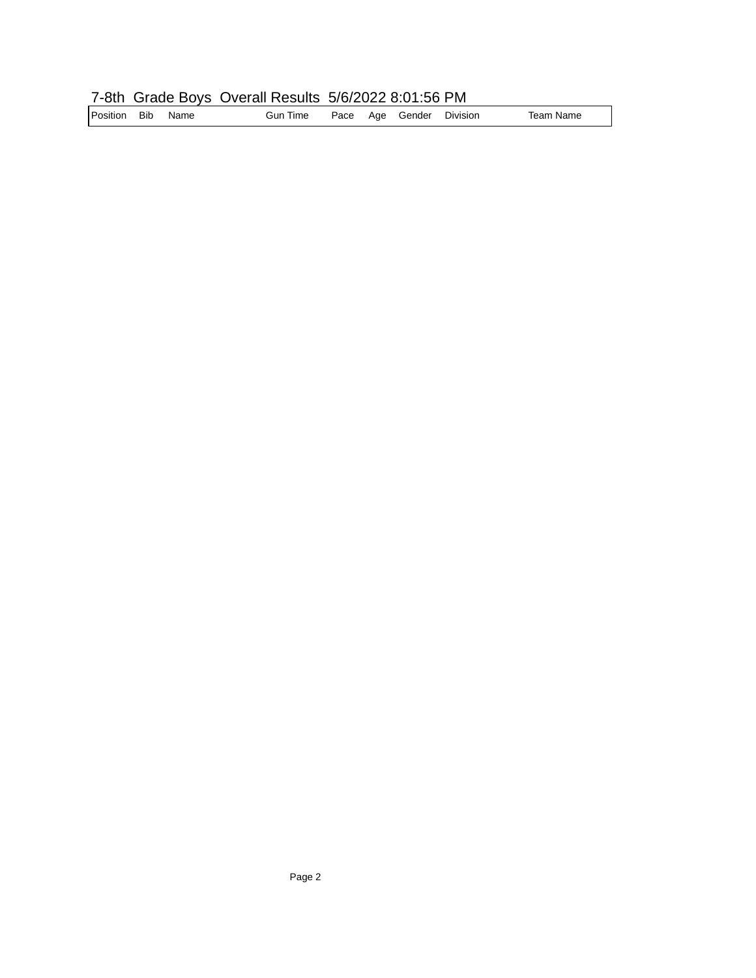## 7-8th Grade Boys Overall Results 5/6/2022 8:01:56 PM

| Position Bib<br>Name | Gun Time |  |  | Pace Age Gender | Division | Team Name |
|----------------------|----------|--|--|-----------------|----------|-----------|
|----------------------|----------|--|--|-----------------|----------|-----------|